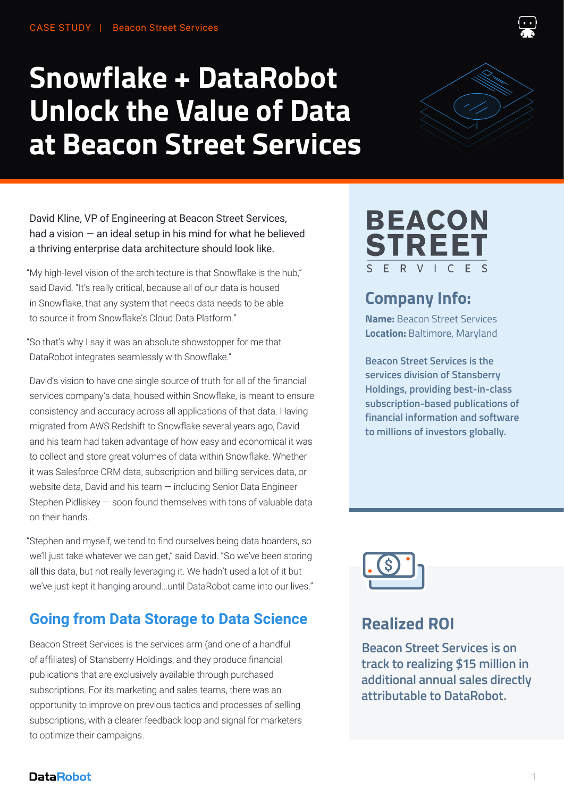# **Snowflake + DataRobot Unlock the Value of Data at Beacon Street Services**



David Kline, VP of Engineering at Beacon Street Services, had a vision  $-$  an ideal setup in his mind for what he believed a thriving enterprise data architecture should look like.

My high-level vision of the architecture is that Snowflake is the hub," " said David. "It's really critical, because all of our data is housed in Snowflake, that any system that needs data needs to be able to source it from Snowflake's Cloud Data Platform."

So that's why I say it was an absolute showstopper for me that " DataRobot integrates seamlessly with Snowflake."

David's vision to have one single source of truth for all of the financial services company's data, housed within Snowflake, is meant to ensure consistency and accuracy across all applications of that data. Having migrated from AWS Redshift to Snowflake several years ago, David and his team had taken advantage of how easy and economical it was to collect and store great volumes of data within Snowflake. Whether it was Salesforce CRM data, subscription and billing services data, or website data, David and his team — including Senior Data Engineer Stephen Pidliskey — soon found themselves with tons of valuable data on their hands.

Stephen and myself, we tend to find ourselves being data hoarders, so " we'll just take whatever we can get," said David. "So we've been storing all this data, but not really leveraging it. We hadn't used a lot of it but we've just kept it hanging around...until DataRobot came into our lives."

## **Going from Data Storage to Data Science**

Beacon Street Services is the services arm (and one of a handful of affiliates) of Stansberry Holdings, and they produce financial publications that are exclusively available through purchased subscriptions. For its marketing and sales teams, there was an opportunity to improve on previous tactics and processes of selling subscriptions, with a clearer feedback loop and signal for marketers to optimize their campaigns.

#### **BEACON STREET** E  $\mathsf{R}$  $\leq$

## **Company Info:**

**Name:** Beacon Street Services **Location:** Baltimore, Maryland

**Beacon Street Services is the services division of Stansberry Holdings, providing best-in-class subscription-based publications of financial information and software to millions of investors globally.**



#### **Realized ROI**

**Beacon Street Services is on track to realizing \$15 million in additional annual sales directly attributable to DataRobot.**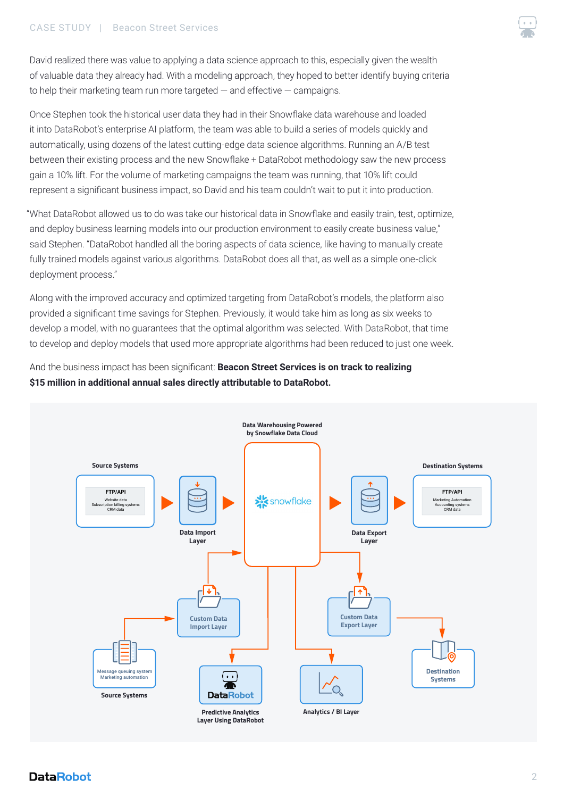#### CASE STUDY | Beacon Street Services



David realized there was value to applying a data science approach to this, especially given the wealth of valuable data they already had. With a modeling approach, they hoped to better identify buying criteria to help their marketing team run more targeted — and effective — campaigns.

Once Stephen took the historical user data they had in their Snowflake data warehouse and loaded it into DataRobot's enterprise AI platform, the team was able to build a series of models quickly and automatically, using dozens of the latest cutting-edge data science algorithms. Running an A/B test between their existing process and the new Snowflake + DataRobot methodology saw the new process gain a 10% lift. For the volume of marketing campaigns the team was running, that 10% lift could represent a significant business impact, so David and his team couldn't wait to put it into production.

What DataRobot allowed us to do was take our historical data in Snowflake and easily train, test, optimize, " and deploy business learning models into our production environment to easily create business value," said Stephen. "DataRobot handled all the boring aspects of data science, like having to manually create fully trained models against various algorithms. DataRobot does all that, as well as a simple one-click deployment process."

Along with the improved accuracy and optimized targeting from DataRobot's models, the platform also provided a significant time savings for Stephen. Previously, it would take him as long as six weeks to develop a model, with no guarantees that the optimal algorithm was selected. With DataRobot, that time to develop and deploy models that used more appropriate algorithms had been reduced to just one week.

And the business impact has been significant: **Beacon Street Services is on track to realizing \$15 million in additional annual sales directly attributable to DataRobot.**